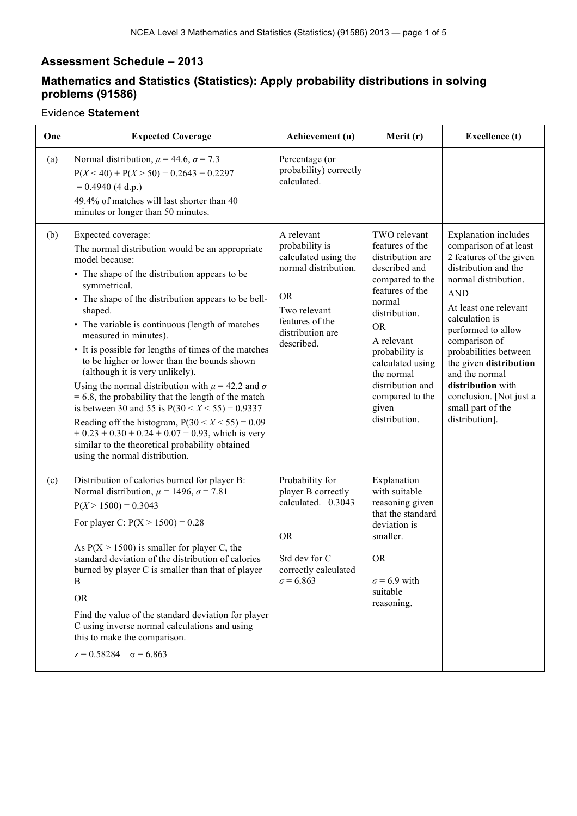## **Assessment Schedule – 2013**

## **Mathematics and Statistics (Statistics): Apply probability distributions in solving problems (91586)**

## Evidence **Statement**

| One | <b>Expected Coverage</b>                                                                                                                                                                                                                                                                                                                                                                                                                                                                                                                                                                                                                                                                                                                                                                                                          | Achievement (u)                                                                                                                                                | Merit (r)                                                                                                                                                                                                                                                                             | <b>Excellence</b> (t)                                                                                                                                                                                                                                                                                                                                                                        |
|-----|-----------------------------------------------------------------------------------------------------------------------------------------------------------------------------------------------------------------------------------------------------------------------------------------------------------------------------------------------------------------------------------------------------------------------------------------------------------------------------------------------------------------------------------------------------------------------------------------------------------------------------------------------------------------------------------------------------------------------------------------------------------------------------------------------------------------------------------|----------------------------------------------------------------------------------------------------------------------------------------------------------------|---------------------------------------------------------------------------------------------------------------------------------------------------------------------------------------------------------------------------------------------------------------------------------------|----------------------------------------------------------------------------------------------------------------------------------------------------------------------------------------------------------------------------------------------------------------------------------------------------------------------------------------------------------------------------------------------|
| (a) | Normal distribution, $\mu$ = 44.6, $\sigma$ = 7.3<br>$P(X < 40) + P(X > 50) = 0.2643 + 0.2297$<br>$= 0.4940 (4 d.p.)$<br>49.4% of matches will last shorter than 40<br>minutes or longer than 50 minutes.                                                                                                                                                                                                                                                                                                                                                                                                                                                                                                                                                                                                                         | Percentage (or<br>probability) correctly<br>calculated.                                                                                                        |                                                                                                                                                                                                                                                                                       |                                                                                                                                                                                                                                                                                                                                                                                              |
| (b) | Expected coverage:<br>The normal distribution would be an appropriate<br>model because:<br>• The shape of the distribution appears to be<br>symmetrical.<br>• The shape of the distribution appears to be bell-<br>shaped.<br>• The variable is continuous (length of matches<br>measured in minutes).<br>• It is possible for lengths of times of the matches<br>to be higher or lower than the bounds shown<br>(although it is very unlikely).<br>Using the normal distribution with $\mu$ = 42.2 and $\sigma$<br>$= 6.8$ , the probability that the length of the match<br>is between 30 and 55 is $P(30 < X < 55) = 0.9337$<br>Reading off the histogram, $P(30 < X < 55) = 0.09$<br>$+0.23 + 0.30 + 0.24 + 0.07 = 0.93$ , which is very<br>similar to the theoretical probability obtained<br>using the normal distribution. | A relevant<br>probability is<br>calculated using the<br>normal distribution.<br><b>OR</b><br>Two relevant<br>features of the<br>distribution are<br>described. | TWO relevant<br>features of the<br>distribution are<br>described and<br>compared to the<br>features of the<br>normal<br>distribution.<br><b>OR</b><br>A relevant<br>probability is<br>calculated using<br>the normal<br>distribution and<br>compared to the<br>given<br>distribution. | <b>Explanation</b> includes<br>comparison of at least<br>2 features of the given<br>distribution and the<br>normal distribution.<br><b>AND</b><br>At least one relevant<br>calculation is<br>performed to allow<br>comparison of<br>probabilities between<br>the given distribution<br>and the normal<br>distribution with<br>conclusion. [Not just a<br>small part of the<br>distribution]. |
| (c) | Distribution of calories burned for player B:<br>Normal distribution, $\mu$ = 1496, $\sigma$ = 7.81<br>$P(X > 1500) = 0.3043$<br>For player C: $P(X > 1500) = 0.28$<br>As $P(X > 1500)$ is smaller for player C, the<br>standard deviation of the distribution of calories<br>burned by player C is smaller than that of player<br>B<br><b>OR</b><br>Find the value of the standard deviation for player<br>C using inverse normal calculations and using<br>this to make the comparison.<br>$z = 0.58284$ $\sigma = 6.863$                                                                                                                                                                                                                                                                                                       | Probability for<br>player B correctly<br>calculated. 0.3043<br><b>OR</b><br>Std dev for C<br>correctly calculated<br>$\sigma$ = 6.863                          | Explanation<br>with suitable<br>reasoning given<br>that the standard<br>deviation is<br>smaller.<br><b>OR</b><br>$\sigma$ = 6.9 with<br>suitable<br>reasoning.                                                                                                                        |                                                                                                                                                                                                                                                                                                                                                                                              |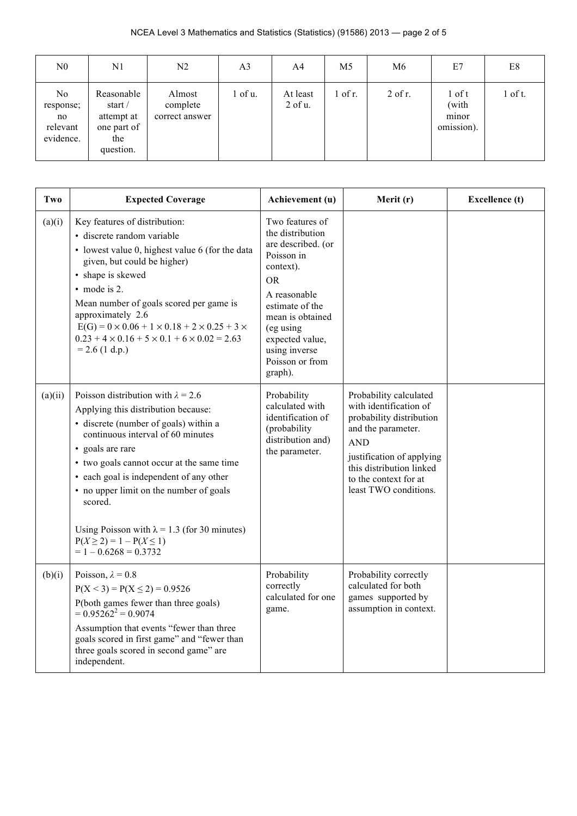| N <sub>0</sub>                                  | N1                                                                                   | N2                                   | A <sub>3</sub> | A4                       | M5        | M6        | E7                                       | E8        |
|-------------------------------------------------|--------------------------------------------------------------------------------------|--------------------------------------|----------------|--------------------------|-----------|-----------|------------------------------------------|-----------|
| No.<br>response;<br>no<br>relevant<br>evidence. | Reasonable<br>start $\overline{\ }$<br>attempt at<br>one part of<br>the<br>question. | Almost<br>complete<br>correct answer | $1$ of $u$ .   | At least<br>$2$ of $u$ . | $1$ of r. | $2$ of r. | $1$ of t<br>(with<br>minor<br>omission). | $1$ of t. |

| Two     | <b>Expected Coverage</b>                                                                                                                                                                                                                                                                                                                                                                                                                            | Achievement (u)                                                                                                                                                                                                                         | Merit (r)                                                                                                                                                                                                                   | <b>Excellence</b> (t) |
|---------|-----------------------------------------------------------------------------------------------------------------------------------------------------------------------------------------------------------------------------------------------------------------------------------------------------------------------------------------------------------------------------------------------------------------------------------------------------|-----------------------------------------------------------------------------------------------------------------------------------------------------------------------------------------------------------------------------------------|-----------------------------------------------------------------------------------------------------------------------------------------------------------------------------------------------------------------------------|-----------------------|
| (a)(i)  | Key features of distribution:<br>· discrete random variable<br>• lowest value 0, highest value 6 (for the data<br>given, but could be higher)<br>• shape is skewed<br>• mode is 2.<br>Mean number of goals scored per game is<br>approximately 2.6<br>$E(G) = 0 \times 0.06 + 1 \times 0.18 + 2 \times 0.25 + 3 \times$<br>$0.23 + 4 \times 0.16 + 5 \times 0.1 + 6 \times 0.02 = 2.63$<br>$= 2.6$ (1 d.p.)                                         | Two features of<br>the distribution<br>are described. (or<br>Poisson in<br>context).<br><b>OR</b><br>A reasonable<br>estimate of the<br>mean is obtained<br>(eg using<br>expected value,<br>using inverse<br>Poisson or from<br>graph). |                                                                                                                                                                                                                             |                       |
| (a)(ii) | Poisson distribution with $\lambda = 2.6$<br>Applying this distribution because:<br>• discrete (number of goals) within a<br>continuous interval of 60 minutes<br>• goals are rare<br>• two goals cannot occur at the same time<br>• each goal is independent of any other<br>• no upper limit on the number of goals<br>scored.<br>Using Poisson with $\lambda = 1.3$ (for 30 minutes)<br>$P(X \ge 2) = 1 - P(X \le 1)$<br>$= 1 - 0.6268 = 0.3732$ | Probability<br>calculated with<br>identification of<br>(probability<br>distribution and)<br>the parameter.                                                                                                                              | Probability calculated<br>with identification of<br>probability distribution<br>and the parameter.<br><b>AND</b><br>justification of applying<br>this distribution linked<br>to the context for at<br>least TWO conditions. |                       |
| (b)(i)  | Poisson, $\lambda = 0.8$<br>$P(X < 3) = P(X \le 2) = 0.9526$<br>P(both games fewer than three goals)<br>$= 0.95262^2 = 0.9074$<br>Assumption that events "fewer than three<br>goals scored in first game" and "fewer than<br>three goals scored in second game" are<br>independent.                                                                                                                                                                 | Probability<br>correctly<br>calculated for one<br>game.                                                                                                                                                                                 | Probability correctly<br>calculated for both<br>games supported by<br>assumption in context.                                                                                                                                |                       |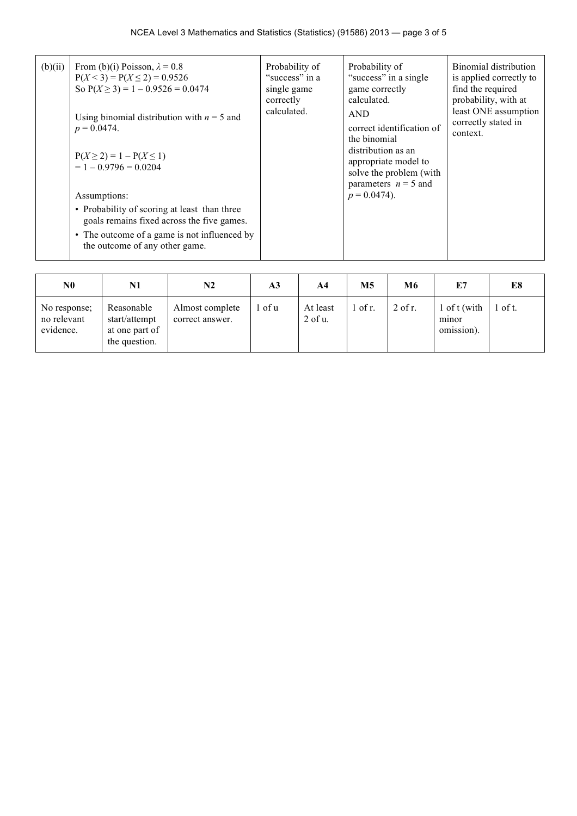| (b)(ii) | From (b)(i) Poisson, $\lambda = 0.8$<br>$P(X < 3) = P(X \le 2) = 0.9526$<br>So $P(X \ge 3) = 1 - 0.9526 = 0.0474$<br>Using binomial distribution with $n = 5$ and<br>$p = 0.0474$ .<br>$P(X \ge 2) = 1 - P(X \le 1)$<br>$= 1 - 0.9796 = 0.0204$<br>Assumptions:<br>• Probability of scoring at least than three<br>goals remains fixed across the five games.<br>• The outcome of a game is not influenced by<br>the outcome of any other game. | Probability of<br>"success" in a<br>single game<br>correctly<br>calculated. | Probability of<br>"success" in a single<br>game correctly<br>calculated.<br><b>AND</b><br>correct identification of<br>the binomial<br>distribution as an<br>appropriate model to<br>solve the problem (with<br>parameters $n = 5$ and<br>$p = 0.0474$ ). | Binomial distribution<br>is applied correctly to<br>find the required<br>probability, with at<br>least ONE assumption<br>correctly stated in<br>context. |
|---------|-------------------------------------------------------------------------------------------------------------------------------------------------------------------------------------------------------------------------------------------------------------------------------------------------------------------------------------------------------------------------------------------------------------------------------------------------|-----------------------------------------------------------------------------|-----------------------------------------------------------------------------------------------------------------------------------------------------------------------------------------------------------------------------------------------------------|----------------------------------------------------------------------------------------------------------------------------------------------------------|
|---------|-------------------------------------------------------------------------------------------------------------------------------------------------------------------------------------------------------------------------------------------------------------------------------------------------------------------------------------------------------------------------------------------------------------------------------------------------|-----------------------------------------------------------------------------|-----------------------------------------------------------------------------------------------------------------------------------------------------------------------------------------------------------------------------------------------------------|----------------------------------------------------------------------------------------------------------------------------------------------------------|

| N <sub>0</sub>                           | N1                                                             | N2                                 | A <sub>3</sub> | A4                    | M <sub>5</sub> | M6        | E7                                  | E8        |
|------------------------------------------|----------------------------------------------------------------|------------------------------------|----------------|-----------------------|----------------|-----------|-------------------------------------|-----------|
| No response;<br>no relevant<br>evidence. | Reasonable<br>start/attempt<br>at one part of<br>the question. | Almost complete<br>correct answer. | of u           | At least<br>$2$ of u. | $1$ of r.      | $2$ of r. | 1 of t (with<br>minor<br>omission). | $1$ of t. |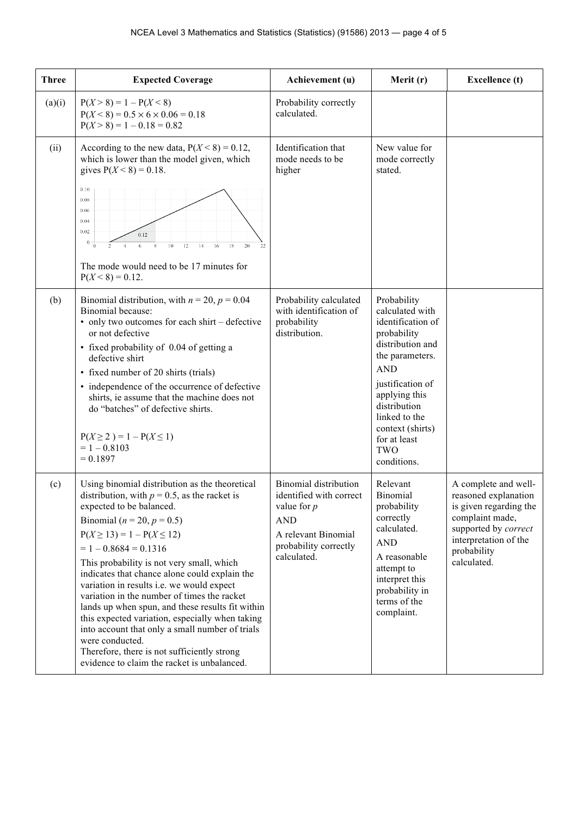| <b>Three</b> | <b>Expected Coverage</b>                                                                                                                                                                                                                                                                                                                                                                                                                                                                                                                                                                                                                                                                              | Achievement (u)                                                                                                                                       | Merit (r)                                                                                                                                                                                                                                               | <b>Excellence</b> (t)                                                                                                                                                    |
|--------------|-------------------------------------------------------------------------------------------------------------------------------------------------------------------------------------------------------------------------------------------------------------------------------------------------------------------------------------------------------------------------------------------------------------------------------------------------------------------------------------------------------------------------------------------------------------------------------------------------------------------------------------------------------------------------------------------------------|-------------------------------------------------------------------------------------------------------------------------------------------------------|---------------------------------------------------------------------------------------------------------------------------------------------------------------------------------------------------------------------------------------------------------|--------------------------------------------------------------------------------------------------------------------------------------------------------------------------|
| (a)(i)       | $P(X > 8) = 1 - P(X < 8)$<br>$P(X < 8) = 0.5 \times 6 \times 0.06 = 0.18$<br>$P(X > 8) = 1 - 0.18 = 0.82$                                                                                                                                                                                                                                                                                                                                                                                                                                                                                                                                                                                             | Probability correctly<br>calculated.                                                                                                                  |                                                                                                                                                                                                                                                         |                                                                                                                                                                          |
| (ii)         | According to the new data, $P(X \le 8) = 0.12$ ,<br>which is lower than the model given, which<br>gives $P(X < 8) = 0.18$ .<br>0.10<br>0.08<br>0.06<br>0.04<br>0.02<br>0.12<br>$\bf{0}$<br>20<br>8<br>10<br>12<br>16<br>18<br>$\Omega$<br>6<br>14<br>The mode would need to be 17 minutes for<br>$P(X < 8) = 0.12$ .                                                                                                                                                                                                                                                                                                                                                                                  | Identification that<br>mode needs to be<br>higher                                                                                                     | New value for<br>mode correctly<br>stated.                                                                                                                                                                                                              |                                                                                                                                                                          |
| (b)          | Binomial distribution, with $n = 20$ , $p = 0.04$<br>Binomial because:<br>• only two outcomes for each shirt – defective<br>or not defective<br>• fixed probability of 0.04 of getting a<br>defective shirt<br>• fixed number of 20 shirts (trials)<br>• independence of the occurrence of defective<br>shirts, ie assume that the machine does not<br>do "batches" of defective shirts.<br>$P(X \ge 2) = 1 - P(X \le 1)$<br>$= 1 - 0.8103$<br>$= 0.1897$                                                                                                                                                                                                                                             | Probability calculated<br>with identification of<br>probability<br>distribution.                                                                      | Probability<br>calculated with<br>identification of<br>probability<br>distribution and<br>the parameters.<br><b>AND</b><br>justification of<br>applying this<br>distribution<br>linked to the<br>context (shirts)<br>for at least<br>TWO<br>conditions. |                                                                                                                                                                          |
| (c)          | Using binomial distribution as the theoretical<br>distribution, with $p = 0.5$ , as the racket is<br>expected to be balanced.<br>Binomial ( $n = 20$ , $p = 0.5$ )<br>$P(X \ge 13) = 1 - P(X \le 12)$<br>$= 1 - 0.8684 = 0.1316$<br>This probability is not very small, which<br>indicates that chance alone could explain the<br>variation in results i.e. we would expect<br>variation in the number of times the racket<br>lands up when spun, and these results fit within<br>this expected variation, especially when taking<br>into account that only a small number of trials<br>were conducted.<br>Therefore, there is not sufficiently strong<br>evidence to claim the racket is unbalanced. | <b>Binomial</b> distribution<br>identified with correct<br>value for $p$<br><b>AND</b><br>A relevant Binomial<br>probability correctly<br>calculated. | Relevant<br>Binomial<br>probability<br>correctly<br>calculated.<br><b>AND</b><br>A reasonable<br>attempt to<br>interpret this<br>probability in<br>terms of the<br>complaint.                                                                           | A complete and well-<br>reasoned explanation<br>is given regarding the<br>complaint made,<br>supported by correct<br>interpretation of the<br>probability<br>calculated. |